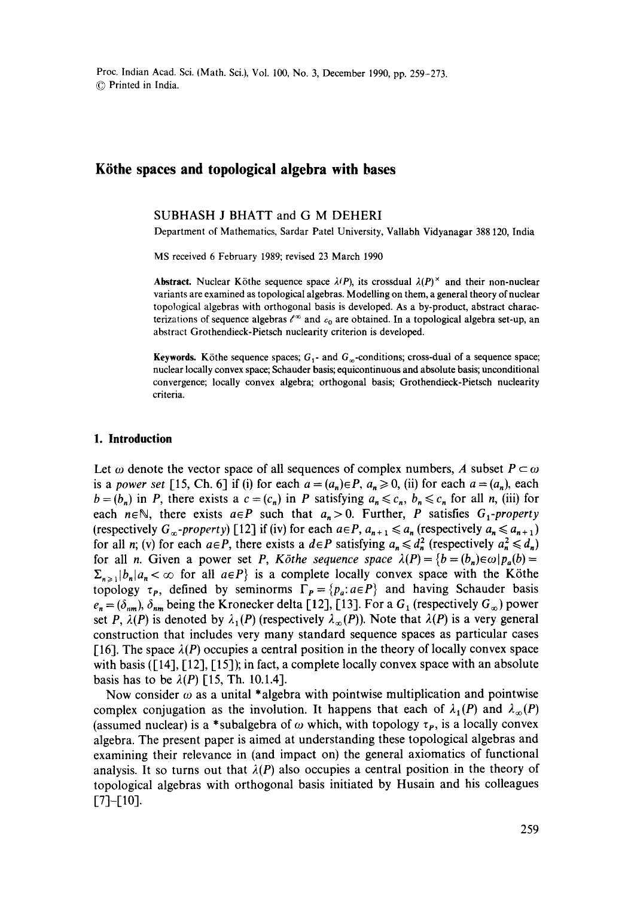Proc. Indian Acad. Sci. {Math. Sci.), Vol. 100, No. 3, December 1990, pp. 259-273. 9 Printed in India.

# **Kiithe spaces and topological algebra with bases**

### SUBHASH J BHATT and **G M DEHERI**

Department of Mathematics, Sardar Patel University, Vallabh Vidyanagar 388 120, India

MS received 6 February 1989; revised 23 March 1990

**Abstract.** Nuclear Köthe sequence space  $\lambda(P)$ , its crossdual  $\lambda(P)^{\times}$  and their non-nuclear variants are examined as topological algebras. Modelling on them, a general theory of nuclear topological algebras with orthogonal basis is developed. As a by-product, abstract characterizations of sequence algebras  $\ell^{\infty}$  and  $c_0$  are obtained. In a topological algebra set-up, an abstract Grothendieck-Pietsch nuclearity criterion is developed.

**Keywords.** Köthe sequence spaces;  $G_1$ - and  $G_\infty$ -conditions; cross-dual of a sequence space; nuclear locally convex space; Schauder basis; equicontinuous and absolute basis; unconditional convergence; locally convex algebra; orthogonal basis; Grothendieck-Pietsch nuclearity criteria.

### **1. Introduction**

Let  $\omega$  denote the vector space of all sequences of complex numbers, A subset  $P \subset \omega$ is a *power set* [15, Ch. 6] if (i) for each  $a = (a_n) \in P$ ,  $a_n \ge 0$ , (ii) for each  $a = (a_n)$ , each  $b = (b_n)$  in P, there exists a  $c = (c_n)$  in P satisfying  $a_n \leq c_n$ ,  $b_n \leq c_n$  for all n, (iii) for each  $n \in \mathbb{N}$ , there exists  $a \in P$  such that  $a_n > 0$ . Further, P satisfies  $G_1$ -property (respectively  $G_{\infty}$ -property) [12] if (iv) for each  $a \in P$ ,  $a_{n+1} \le a_n$  (respectively  $a_n \le a_{n+1}$ ) for all n; (v) for each  $a \in P$ , there exists a  $d \in P$  satisfying  $a_n \leq d_n^2$  (respectively  $a_n^2 \leq d_n$ ) for all *n*. Given a power set *P*, *Köthe sequence space*  $\lambda(P) = \{b = (b_n) \in \omega | p_a(b) =$  $\sum_{n\geq 1} |b_n| a_n < \infty$  for all  $a \in P$  is a complete locally convex space with the Köthe topology  $\tau_P$ , defined by seminorms  $\Gamma_P = \{p_a: a \in P\}$  and having Schauder basis  $e_n = (\delta_{nm})$ ,  $\delta_{nm}$  being the Kronecker delta [12], [13]. For a  $G_1$  (respectively  $G_{\infty}$ ) power set P,  $\lambda(P)$  is denoted by  $\lambda_1(P)$  (respectively  $\lambda_{\infty}(P)$ ). Note that  $\lambda(P)$  is a very general construction that includes very many standard sequence spaces as particular cases [16]. The space  $\lambda(P)$  occupies a central position in the theory of locally convex space with basis ([14], [12], [15]); in fact, a complete locally convex space with an absolute basis has to be  $\lambda(P)$  [15, Th. 10.1.4].

Now consider  $\omega$  as a unital \*algebra with pointwise multiplication and pointwise complex conjugation as the involution. It happens that each of  $\lambda_1(P)$  and  $\lambda_\infty(P)$ (assumed nuclear) is a \*subalgebra of  $\omega$  which, with topology  $\tau_p$ , is a locally convex algebra. The present paper is aimed at understanding these topological algebras and examining their relevance in (and impact on) the general axiomatics of functional analysis. It so turns out that  $\lambda(P)$  also occupies a central position in the theory of topological algebras with orthogonal basis initiated by Husain and his colleagues [7]-[10].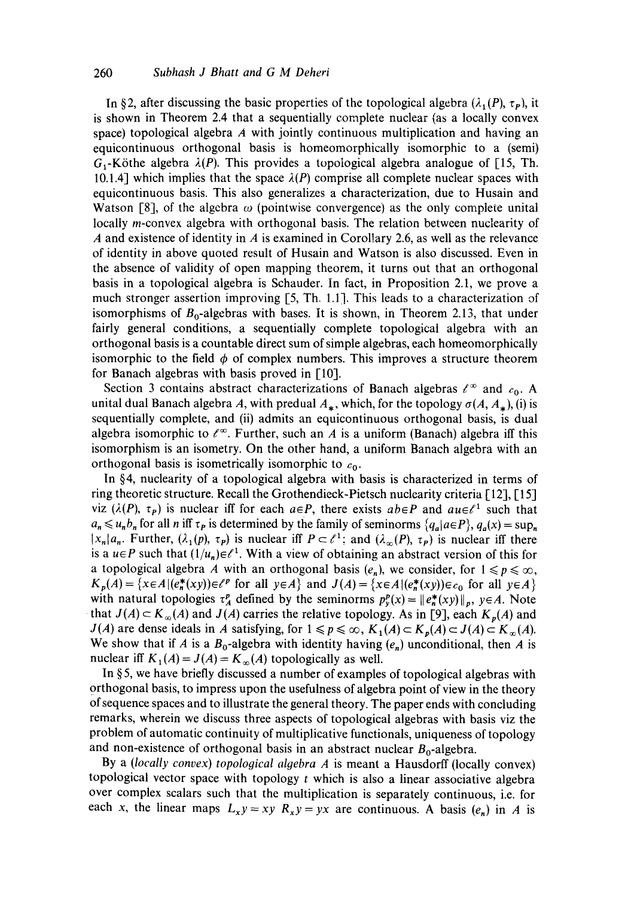In §2, after discussing the basic properties of the topological algebra  $(\lambda_1(P), \tau_P)$ , it is shown in Theorem 2.4 that a sequentially complete nuclear (as a locally convex space) topological algebra  $\vec{A}$  with jointly continuous multiplication and having an equicontinuous orthogonal basis is homeomorphically isomorphic to a (semi)  $G_1$ -Köthe algebra  $\lambda(P)$ . This provides a topological algebra analogue of [15, Th. 10.1.4] which implies that the space  $\lambda(P)$  comprise all complete nuclear spaces with equicontinuous basis. This also generalizes a characterization, due to Husain and Watson [8], of the algebra  $\omega$  (pointwise convergence) as the only complete unital locally *m*-convex algebra with orthogonal basis. The relation between nuclearity of A and existence of identity in A is examined in Corollary 2.6, as well as the relevance of identity in above quoted result of Husain and Watson is also discussed. Even in the absence of validity of open mapping theorem, it turns out that an orthogonal basis in a topological algebra is Schauder. In fact, in Proposition 2.1, we prove a much stronger assertion improving [5, Th. 1.1]. This leads to a characterization of isomorphisms of  $B_0$ -algebras with bases. It is shown, in Theorem 2.13, that under fairly general conditions, a sequentially complete topological algebra with an orthogonal basis is a countable direct sum of simple algebras, each homeomorphically isomorphic to the field  $\phi$  of complex numbers. This improves a structure theorem for Banach algebras with basis proved in [101.

Section 3 contains abstract characterizations of Banach algebras  $\ell^{\infty}$  and  $c_0$ . A unital dual Banach algebra A, with predual  $A_*$ , which, for the topology  $\sigma(A, A_*$ ), (i) is sequentially complete, and (ii) admits an equicontinuous orthogonal basis, is dual algebra isomorphic to  $\ell^{\infty}$ . Further, such an A is a uniform (Banach) algebra iff this isomorphism is an isometry. On the other hand, a uniform Banach algebra with an orthogonal basis is isometrically isomorphic to  $c_0$ .

In §4, nuclearity of a topological algebra with basis is characterized in terms of ring theoretic structure. Recall the Grothendieck-Pietsch nuclearity criteria [121, I-15] viz ( $\lambda(P)$ ,  $\tau_p$ ) is nuclear iff for each  $a \in P$ , there exists  $ab \in P$  and  $a u \in \ell^1$  such that  $a_n \leq u_n b_n$  for all *n* iff  $\tau_p$  is determined by the family of seminorms  $\{q_a | a \in P\}$ ,  $q_a(x) = \sup_n$  $|x_n|a_n$ . Further,  $(\lambda_1(p), \tau_p)$  is nuclear iff  $P \subset \ell^1$ ; and  $(\lambda_\infty(P), \tau_p)$  is nuclear iff there is a  $u \in P$  such that  $(1/u_n) \in \ell^1$ . With a view of obtaining an abstract version of this for a topological algebra A with an orthogonal basis  $(e_n)$ , we consider, for  $1 \leq p \leq \infty$ ,  $K_p(A) = \{x \in A | (e^*_n(xy)) \in \ell^p \text{ for all } y \in A \}$  and  $J(A) = \{x \in A | (e^*_n(xy)) \in c_0 \text{ for all } y \in A \}$ with natural topologies  $\tau_A^p$  defined by the seminorms  $p_y^p(x) = ||e_n^*(xy)||_p$ ,  $y \in A$ . Note that  $J(A) \subset K_\infty(A)$  and  $J(A)$  carries the relative topology. As in [9], each  $K_p(A)$  and *J(A)* are dense ideals in A satisfying, for  $1 \leq p \leq \infty$ ,  $K_1(A) \subset K_p(A) \subset J(A) \subset K_\infty(A)$ . We show that if A is a  $B_0$ -algebra with identity having  $(e_n)$  unconditional, then A is nuclear iff  $K_1(A) = J(A) = K_\infty(A)$  topologically as well.

In §5, we have briefly discussed a number of examples of topological algebras with orthogonal basis, to impress upon the usefulness of algebra point of view in the theory of sequence spaces and to illustrate the general theory. The paper ends with concluding remarks, wherein we discuss three aspects of topological algebras with basis viz the problem of automatic continuity of multiplicative functionals, uniqueness of topology and non-existence of orthogonal basis in an abstract nuclear  $B_0$ -algebra.

By a *(locally convex) topological algebra A* is meant a Hausdorff (locally convex) topological vector space with topology  $t$  which is also a linear associative algebra over complex scalars such that the multiplication is separately continuous, i.e. for each x, the linear maps  $L_x y = xy R_x y = yx$  are continuous. A basis  $(e_n)$  in A is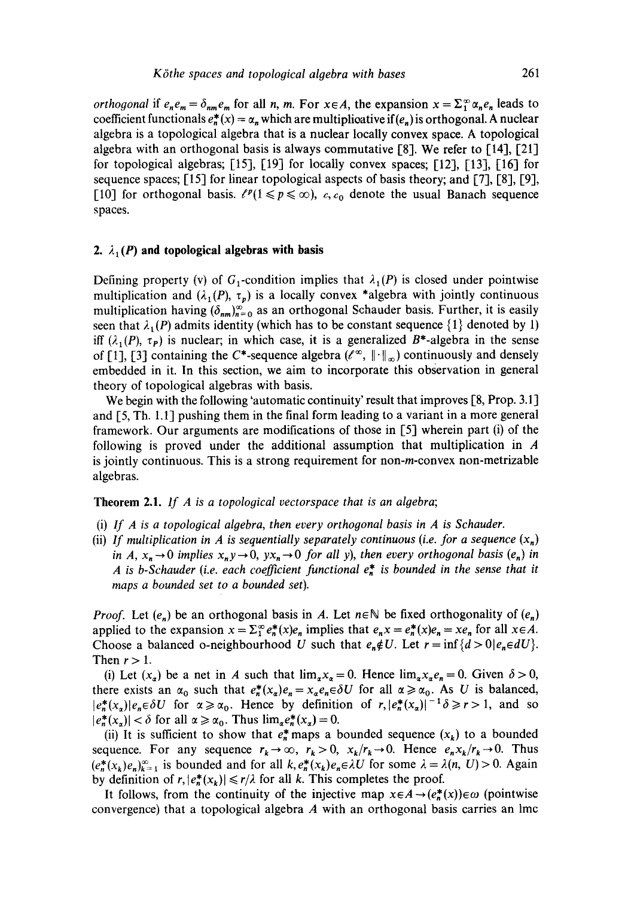*orthogonal* if  $e_n e_m = \delta_{nm} e_m$  for all n, m. For  $x \in A$ , the expansion  $x = \sum_{i=1}^{\infty} \alpha_n e_n$  leads to coefficient functionals  $e_n^*(x) = \alpha_n$  which are multiplicative if  $(e_n)$  is orthogonal. A nuclear algebra is a topological algebra that is a nuclear locally convex space. A topological algebra with an orthogonal basis is always commutative [8]. We refer to [14], [21] for topological algebras; [15], [19] for locally convex spaces; [12], [13], [16] for sequence spaces;  $[15]$  for linear topological aspects of basis theory; and  $[7]$ ,  $[8]$ ,  $[9]$ , [10] for orthogonal basis.  $\ell^p(1 \leq p \leq \infty)$ , c, c<sub>0</sub> denote the usual Banach sequence spaces.

## 2.  $\lambda_1(P)$  and topological algebras with basis

Defining property (v) of  $G_1$ -condition implies that  $\lambda_1(P)$  is closed under pointwise multiplication and  $(\lambda_1(P), \tau_p)$  is a locally convex \*algebra with jointly continuous multiplication having  $(\delta_{nm})_{n=0}^{\infty}$  as an orthogonal Schauder basis. Further, it is easily seen that  $\lambda_1(P)$  admits identity (which has to be constant sequence  $\{1\}$  denoted by 1) iff  $(\lambda_1(P), \tau_P)$  is nuclear; in which case, it is a generalized B\*-algebra in the sense of [1], [3] containing the C\*-sequence algebra  $(\ell^{\infty}, \|\cdot\|_{\infty})$  continuously and densely embedded in it. In this section, we aim to incorporate this observation in general theory of topological algebras with basis.

We begin with the following 'automatic continuity' result that improves [8, Prop. 3.1] and [5, Th. 1.1] pushing them in the final form leading to a variant in a more general framework. Our arguments are modifications of those in  $[5]$  wherein part (i) of the following is proved under the additional assumption that multiplication in A is jointly continuous. This is a strong requirement for non- $m$ -convex non-metrizable algebras.

# **Theorem** 2.1. *If A is a topological vectorspace that is an algebra;*

- (i) *If A is a topological algebra, then every orthogonal basis in A is Schauder.*
- (ii) If multiplication in A is sequentially separately continuous (i.e. for a sequence  $(x_n)$ *in A,*  $x_n \rightarrow 0$  *implies*  $x_n y \rightarrow 0$ ,  $yx_n \rightarrow 0$  *for all y), then every orthogonal basis*  $(e_n)$  *in A* is b-Schauder (i.e. each coefficient functional  $e_n^*$  is bounded in the sense that it *maps a bounded set to a bounded set).*

*Proof.* Let  $(e_n)$  be an orthogonal basis in A. Let  $n \in \mathbb{N}$  be fixed orthogonality of  $(e_n)$ applied to the expansion  $x = \sum_{i=1}^{\infty} e_n^*(x)e_n$  implies that  $e_n x = e_n^*(x)e_n = xe_n$  for all  $x \in A$ . Choose a balanced o-neighbourhood U such that  $e_n \notin U$ . Let  $r = \inf \{ d > 0 | e_n \in dU \}$ . Then  $r > 1$ .

(i) Let  $(x_{\alpha})$  be a net in A such that  $\lim_{\alpha} x_{\alpha} = 0$ . Hence  $\lim_{\alpha} x_{\alpha} e_n = 0$ . Given  $\delta > 0$ , there exists an  $\alpha_0$  such that  $e^*_n(x_\alpha)e_n = x_\alpha e_n \in \delta U$  for all  $\alpha \ge \alpha_0$ . As U is balanced,  $|e_n^*(x_\alpha)|e_n \in \delta U$  for  $\alpha \ge \alpha_0$ . Hence by definition of  $r, |e_n^*(x_\alpha)|^{-1} \delta \ge r > 1$ , and so  $|e_n^*(x_\alpha)| < \delta$  for all  $\alpha \ge \alpha_0$ . Thus  $\lim_{\alpha} e_n^*(x_\alpha) = 0$ .

(ii) It is sufficient to show that  $e_n^*$  maps a bounded sequence  $(x_k)$  to a bounded sequence. For any sequence  $r_k \to \infty$ ,  $r_k>0$ ,  $x_k/r_k \to 0$ . Hence  $e_n x_k/r_k \to 0$ . Thus  $(e_n^*(x_k)e_n)_{k=1}^{\infty}$  is bounded and for all  $k,e_n^*(x_k)e_n \in \lambda U$  for some  $\lambda = \lambda(n, U) > 0$ . Again by definition of  $r, |e_n^*(x_k)| \le r/\lambda$  for all k. This completes the proof.

It follows, from the continuity of the injective map  $x \in A \rightarrow (e_n^*(x)) \in \omega$  (pointwise convergence) that a topological algebra A with an orthogonal basis carries an lmc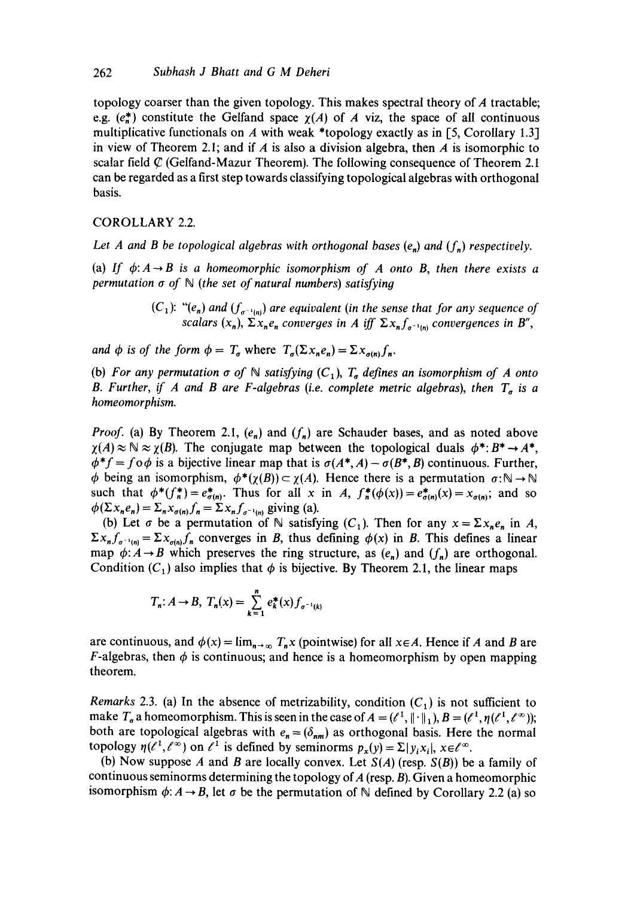topology coarser than the given topology. This makes spectral theory of A tractable; e.g.  $(e_n^*)$  constitute the Gelfand space  $\chi(A)$  of A viz, the space of all continuous multiplicative functionals on  $A$  with weak \*topology exactly as in [5, Corollary 1.3] in view of Theorem 2.1; and if A is also a division algebra, then A is isomorphic to scalar field  $\mathcal C$  (Gelfand-Mazur Theorem). The following consequence of Theorem 2.1 can be regarded as a first step towards classifying topological algebras with orthogonal basis.

COROLLARY 2.2.

*Let A and B be topological algebras with orthogonal bases (e.) and (f.) respectively.* 

(a) If  $\phi: A \rightarrow B$  is a homeomorphic isomorphism of A onto B, then there exists a *permutation a of N (the set of natural numbers) satisfying* 

> $(C_1):$  " $(e_n)$  and  $(f_{\sigma^{-1}(n)})$  are equivalent (in the sense that for any sequence of *scalars*  $(x_n)$ *,*  $\sum x_n e_n$  *converges in A iff*  $\sum x_n f_{\sigma^{-1}(n)}$  *convergences in B'',*

*and*  $\phi$  *is of the form*  $\phi = T_a$  *where*  $T_a(\Sigma x_n e_n) = \Sigma x_{a(n)} f_n$ .

(b) For any permutation  $\sigma$  of N satisfying  $(C_1)$ ,  $T_{\sigma}$  defines an isomorphism of A onto *B. Further, if A and B are F-algebras (i.e. complete metric algebras), then*  $T_a$  is a *homeomorphism.* 

*Proof.* (a) By Theorem 2.1,  $(e_n)$  and  $(f_n)$  are Schauder bases, and as noted above  $\gamma(A) \approx N \approx \gamma(B)$ . The conjugate map between the topological duals  $\phi^*: B^* \to A^*$ ,  $\phi^*f = f \circ \phi$  is a bijective linear map that is  $\sigma(A^*, A) - \sigma(B^*, B)$  continuous. Further,  $\phi$  being an isomorphism,  $\phi^*(\gamma(B)) \subset \gamma(A)$ . Hence there is a permutation  $\sigma : \mathbb{N} \to \mathbb{N}$ such that  $\phi^*(f_n^*) = e_{\sigma(n)}^*$ . Thus for all x in *A,*  $f_n^*(\phi(x)) = e_{\sigma(n)}^*(x) = x_{\sigma(n)}$ ; and so  $\phi(\Sigma x_n e_n) = \Sigma_n x_{\sigma(n)} f_n = \Sigma x_n f_{\sigma^{-1}(n)}$  giving (a).

(b) Let  $\sigma$  be a permutation of  $\mathbb N$  satisfying  $(C_1)$ . Then for any  $x = \sum x_n e_n$  in A,  $\Sigma x_n f_{\sigma^{-1}(n)} = \Sigma x_{\sigma(n)} f_n$  converges in B, thus defining  $\phi(x)$  in B. This defines a linear map  $\phi: A \rightarrow B$  which preserves the ring structure, as  $(e_n)$  and  $(f_n)$  are orthogonal. Condition (C<sub>1</sub>) also implies that  $\phi$  is bijective. By Theorem 2.1, the linear maps

$$
T_n: A \to B, T_n(x) = \sum_{k=1}^n e_k^*(x) f_{\sigma^{-1}(k)}
$$

are continuous, and  $\phi(x) = \lim_{n \to \infty} T_n x$  (pointwise) for all  $x \in A$ . Hence if A and B are F-algebras, then  $\phi$  is continuous; and hence is a homeomorphism by open mapping theorem.

*Remarks* 2.3. (a) In the absence of metrizability, condition  $(C_1)$  is not sufficient to make  $T_a$  a homeomorphism. This is seen in the case of  $A = (l^1, \|\cdot\|_1)$ ,  $B = (l^1, \eta(l^1, l^{\infty}))$ ; both are topological algebras with  $e_n = (\delta_{nm})$  as orthogonal basis. Here the normal topology  $\eta(\ell^1, \ell^\infty)$  on  $\ell^1$  is defined by seminorms  $p_x(y) = \sum |y_i x_i|, x \in \ell^\infty$ .

(b) Now suppose A and B are locally convex. Let *S(A)* (resp. *S(B))* be a family of continuous seminorms determining the topology of  $A$  (resp.  $B$ ). Given a homeomorphic isomorphism  $\phi: A \rightarrow B$ , let  $\sigma$  be the permutation of N defined by Corollary 2.2 (a) so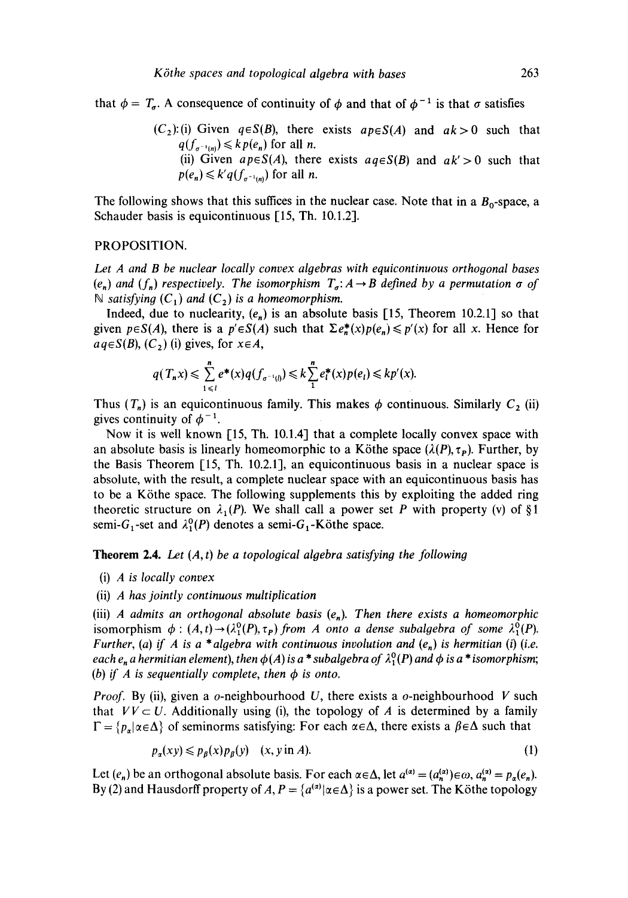that  $\phi = T_a$ . A consequence of continuity of  $\phi$  and that of  $\phi^{-1}$  is that  $\sigma$  satisfies

 $(C_2)$ :(i) Given  $q \in S(B)$ , there exists  $ap \in S(A)$  and  $ak > 0$  such that  $q(f_{\sigma^{-1}(n)}) \leq k p(e_n)$  for all *n*. (ii) Given  $ap \in S(A)$ , there exists  $aq \in S(B)$  and  $ak' > 0$  such that  $p(e_n) \leq k' q(f_{\sigma^{-1}(n)})$  for all *n*.

The following shows that this suffices in the nuclear case. Note that in a  $B_0$ -space, a Schauder basis is equicontinuous [15, Th. 10.1.2].

#### PROPOSITION.

*Let A and B be nuclear locally convex algebras with equicontinuous orthogonal bases*   $(e_n)$  and  $(f_n)$  respectively. The isomorphism  $T_a$ :  $A \rightarrow B$  defined by a permutation  $\sigma$  of  $\mathbb N$  satisfying  $(C_1)$  and  $(C_2)$  is a homeomorphism.

Indeed, due to nuclearity,  $(e_n)$  is an absolute basis [15, Theorem 10.2.1] so that given  $p \in S(A)$ , there is a  $p' \in S(A)$  such that  $\Sigma e^*(x)p(e_n) \leq p'(x)$  for all x. Hence for  $aq \in S(B), (C<sub>2</sub>)$  (i) gives, for  $x \in A$ ,

$$
q(T_n x) \leq \sum_{1 \leq l}^{n} e^*(x) q(f_{\sigma^{-1}(l)}) \leq k \sum_{1}^{n} e_l^*(x) p(e_l) \leq k p'(x).
$$

Thus  $(T_n)$  is an equicontinuous family. This makes  $\phi$  continuous. Similarly  $C_2$  (ii) gives continuity of  $\phi^{-1}$ .

Now it is well known [15, Th. 10.1.4] that a complete locally convex space with an absolute basis is linearly homeomorphic to a Köthe space  $(\lambda(P), \tau_P)$ . Further, by the Basis Theorem  $[15, Th. 10.2.1]$ , an equicontinuous basis in a nuclear space is absolute, with the result, a complete nuclear space with an equicontinuous basis has to be a Köthe space. The following supplements this by exploiting the added ring theoretic structure on  $\lambda_1(P)$ . We shall call a power set P with property (v) of §1 semi-G<sub>1</sub>-set and  $\lambda_1^0(P)$  denotes a semi-G<sub>1</sub>-Köthe space.

Theorem 2.4. Let (A, *t) be a topological algebra satisfying the following* 

(i) *A is locally convex* 

(ii) *A has jointly continuous multiplication* 

(iii) *A admits an orthogonal absolute basis*  $(e_n)$ . Then there exists a homeomorphic isomorphism  $\phi : (A,t) \rightarrow (\lambda_1^0(P), \tau_P)$  from A onto a dense subalgebra of some  $\lambda_1^0(P)$ . *Further, (a) if A is a \*algebra with continuous involution and (e,) is hermitian (i) (i.e. each e<sub>n</sub> a hermitian element), then*  $\phi(A)$  *is a \* subalgebra of*  $\lambda_1^0(P)$  *and*  $\phi$  *is a \* isomorphism; (b)* if A is sequentially complete, then  $\phi$  is onto.

*Proof.* By (ii), given a o-neighbourhood U, there exists a o-neighbourhood V such that  $VV \subset U$ . Additionally using (i), the topology of A is determined by a family  $\Gamma = \{p_x | \alpha \in \Lambda\}$  of seminorms satisfying: For each  $\alpha \in \Lambda$ , there exists a  $\beta \in \Lambda$  such that

$$
p_{\alpha}(xy) \leqslant p_{\beta}(x)p_{\beta}(y) \quad (x, y \text{ in } A). \tag{1}
$$

Let  $(e_n)$  be an orthogonal absolute basis. For each  $\alpha \in \Delta$ , let  $a^{(\alpha)} = (a_n^{(\alpha)}) \in \omega$ ,  $a_n^{(\alpha)} = p_\alpha(e_n)$ . By (2) and Hausdorff property of A,  $P = \{a^{(\alpha)} | \alpha \in \Delta\}$  is a power set. The Köthe topology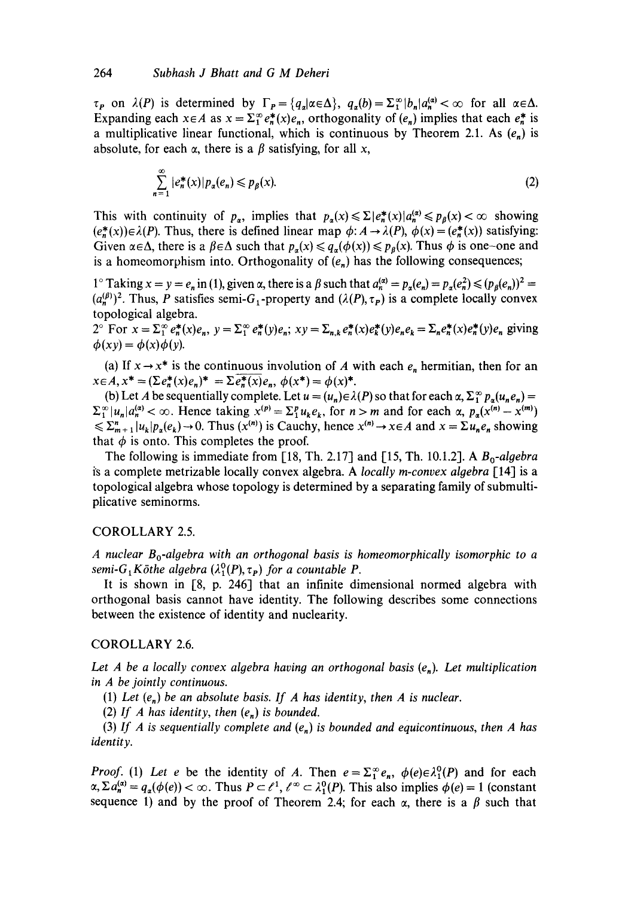$\tau_{p}$  on  $\lambda(P)$  is determined by  $\Gamma_{p} = \{q_{q} | \alpha \in \Delta \}, q_{q}(b) = \sum_{i=1}^{\infty} |b_{n}| a_{n}^{(\alpha)} < \infty$  for all  $\alpha \in \Delta$ . Expanding each  $x \in A$  as  $x = \sum_{i=1}^{\infty} e^*_n(x)e_n$ , orthogonality of  $(e_n)$  implies that each  $e^*_n$  is a multiplicative linear functional, which is continuous by Theorem 2.1. As  $(e_n)$  is absolute, for each  $\alpha$ , there is a  $\beta$  satisfying, for all x,

$$
\sum_{n=1}^{\infty} |e_n^*(x)| p_a(e_n) \leqslant p_\beta(x). \tag{2}
$$

This with continuity of  $p_a$ , implies that  $p_a(x) \leq \sum |e_n^*(x)| a_n^{(a)} \leq p_a(x) < \infty$  showing  $(e_n^*(x)) \in \lambda(P)$ . Thus, there is defined linear map  $\phi: A \to \lambda(P)$ ,  $\phi(x) = (e_n^*(x))$  satisfying: Given  $\alpha \in \Delta$ , there is a  $\beta \in \Delta$  such that  $p_{\alpha}(x) \leq q_{\alpha}(\phi(x)) \leq p_{\beta}(x)$ . Thus  $\phi$  is one-one and is a homeomorphism into. Orthogonality of  $(e_n)$  has the following consequences;

1° Taking  $x = y = e_n$  in (1), given  $\alpha$ , there is a  $\beta$  such that  $a_n^{(\alpha)} = p_\alpha(e_n) = p_\alpha(e_n^2) \leq (p_\beta(e_n))^2$  $(a_n^{(\beta)})^2$ . Thus, P satisfies semi-G<sub>1</sub>-property and  $(\lambda(P), \tau_P)$  is a complete locally convex topological algebra.

 $2^{\circ}$  For  $x = \sum_{1}^{\infty} e_n^*(x)e_n$ ,  $y = \sum_{1}^{\infty} e_n^*(y)e_n$ ;  $xy = \sum_{n,k} e_n^*(x)e_n^*(y)e_n e_k = \sum_{n} e_n^*(x)e_n^*(y)e_n$  giving  $\phi (xy) = \phi (x) \phi (y)$ .

(a) If  $x \rightarrow x^*$  is the continuous involution of A with each  $e_n$  hermitian, then for an  $x \in A$ ,  $x^* = (\sum e_n^*(x)e_n)^* = \sum e_n^*(x)e_n$ ,  $\phi(x^*) = \phi(x)^*$ .

(b) Let A be sequentially complete. Let  $u = (u_n) \in \lambda(P)$  so that for each  $\alpha$ ,  $\Sigma_1^{\infty} p_{\alpha}(u_n e_n) =$  $\sum_{i=1}^{\infty} |u_n| a_n^{(\alpha)} < \infty$ . Hence taking  $x^{(p)} = \sum_{i=1}^{p} u_k e_k$ , for  $n > m$  and for each  $\alpha$ ,  $p_\alpha(x^{(n)} - x^{(m)})$  $\leq \sum_{m+1}^n |u_k| p_n(e_k) \to 0$ . Thus  $(x^{(n)})$  is Cauchy, hence  $x^{(n)} \to x \in A$  and  $x = \sum u_n e_n$  showing that  $\phi$  is onto. This completes the proof.

The following is immediate from  $[18, Th. 2.17]$  and  $[15, Th. 10.1.2]$ . A  $B_0$ -algebra is a complete metrizable locally convex algebra. A *locally m-convex algebra* [14] is a topological algebra whose topology is determined by a separating family of submultiplicative seminorms.

## COROLLARY 2,5.

*A nuclear Bo-algebra with an orthogonal basis is homeomorphically isomorphic to a semi-G<sub>1</sub>Köthe algebra*  $(\lambda_1^0(P), \tau_P)$  *for a countable P.* 

It is shown in [8, p. 246] that an infinite dimensional normed algebra with orthogonal basis cannot have identity. The following describes some connections between the existence of identity and nuclearity.

## COROLLARY 2.6.

*Let A be a locally convex algebra having an orthogonal basis (e<sub>n</sub>). Let multiplication in A be jointly continuous.* 

(1) Let  $(e_n)$  be an absolute basis. If A has identity, then A is nuclear.

(2) *If A has identity, then (e,) is bounded.* 

(3) If A is sequentially complete and  $(e_n)$  is bounded and equicontinuous, then A has *identity.* 

*Proof.* (1) Let e be the identity of A. Then  $e = \sum_{1}^{\infty} e_n$ ,  $\phi(e) \in \lambda_1^0(P)$  and for each  $\alpha$ ,  $\sum a_n^{(\alpha)} = q_\alpha(\phi(e)) < \infty$ . Thus  $P \subset \ell^1$ ,  $\ell^\infty \subset \lambda_1^0(P)$ . This also implies  $\phi(e) = 1$  (constant sequence 1) and by the proof of Theorem 2.4; for each  $\alpha$ , there is a  $\beta$  such that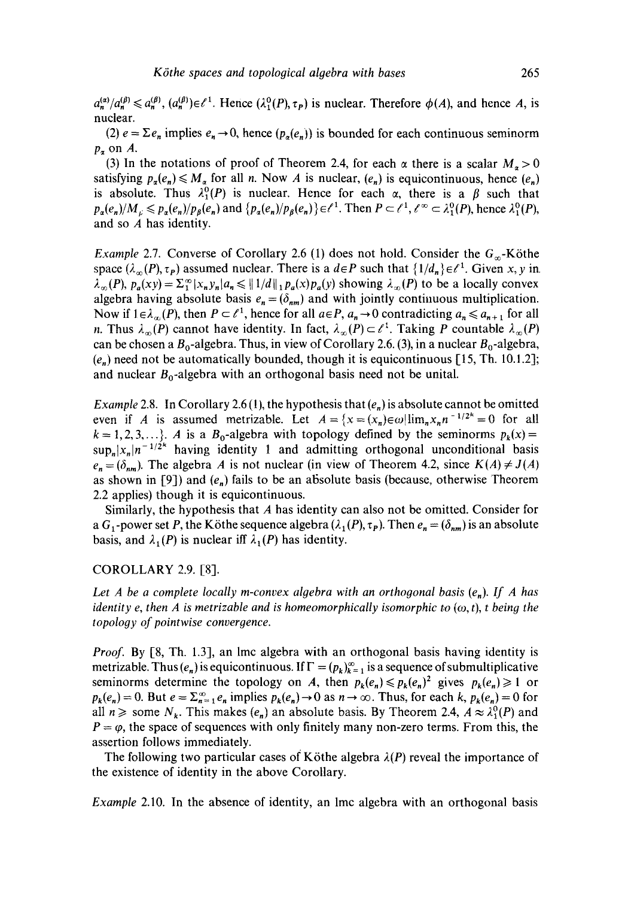$a_n^{(\alpha)}/a_n^{(\beta)} \leq a_n^{(\beta)}$ ,  $(a_n^{(\beta)}) \in \ell^1$ . Hence  $(\lambda_1^0(P), \tau_P)$  is nuclear. Therefore  $\phi(A)$ , and hence A, is nuclear.

(2)  $e = \sum e_n$  implies  $e_n \to 0$ , hence  $(p_n(e_n))$  is bounded for each continuous seminorm  $p_{\alpha}$  on A.

(3) In the notations of proof of Theorem 2.4, for each  $\alpha$  there is a scalar  $M_{\alpha} > 0$ satisfying  $p_n(e_n) \leq M_n$  for all n. Now A is nuclear,  $(e_n)$  is equicontinuous, hence  $(e_n)$ is absolute. Thus  $\lambda_1^0(P)$  is nuclear, Hence for each  $\alpha$ , there is a  $\beta$  such that  $p_a(e_n)/M_{\nu} \leq p_a(e_n)/p_{\beta}(e_n)$  and  $\{p_a(e_n)/p_{\beta}(e_n)\}\in \ell^1$ . Then  $P \subset \ell^1$ ,  $\ell^{\infty} \subset \lambda_1^0(P)$ , hence  $\lambda_1^0(P)$ , and so A has identity.

*Example 2.7.* Converse of Corollary 2.6 (1) does not hold. Consider the  $G_{\infty}$ -Köthe space  $(\lambda_{\infty}(P), \tau_P)$  assumed nuclear. There is a  $d \in P$  such that  $\{1/d_n\} \in \ell^1$ . Given x, y in.  $\lambda_{\infty}(P)$ ,  $p_a(xy) = \sum_{i=1}^{\infty} |x_n y_n| a_n \le ||1/d||_1 p_a(x) p_a(y)$  showing  $\lambda_{\infty}(P)$  to be a locally convex algebra having absolute basis  $e_n = (\delta_{nm})$  and with jointly continuous multiplication. Now if  $1 \in \lambda_{\infty}(P)$ , then  $P \subset \ell^1$ , hence for all  $a \in P$ ,  $a_n \to 0$  contradicting  $a_n \le a_{n+1}$  for all n. Thus  $\lambda_{\infty}(P)$  cannot have identity. In fact,  $\lambda_{\infty}(P) \subset \ell^{1}$ . Taking P countable  $\lambda_{\infty}(P)$ can be chosen a  $B_0$ -algebra. Thus, in view of Corollary 2.6. (3), in a nuclear  $B_0$ -algebra,  $(e_n)$  need not be automatically bounded, though it is equicontinuous [15, Th. 10.1.2]; and nuclear  $B_0$ -algebra with an orthogonal basis need not be unital.

*Example 2.8.* In Corollary 2.6 (1), the hypothesis that  $(e_n)$  is absolute cannot be omitted even if *A* is assumed metrizable. Let  $A = \{x = (x_n) \in \omega | \lim_{n \to \infty} x_n n^{-1/2^{k}} = 0 \text{ for all }$  $k = 1, 2, 3, \ldots$ . A is a B<sub>0</sub>-algebra with topology defined by the seminorms  $p_k(x) =$  $\sup_n |x_n|n^{-1/2k}$  having identity 1 and admitting orthogonal unconditional basis  $e_n = (\delta_{nm})$ . The algebra A is not nuclear (in view of Theorem 4.2, since  $K(A) \neq J(A)$ as shown in [9]) and  $(e_n)$  fails to be an absolute basis (because, otherwise Theorem 2.2 applies) though it is equicontinuous.

Similarly, the hypothesis that A has identity can also not be omitted. Consider for a G<sub>1</sub>-power set P, the Köthe sequence algebra  $(\lambda_1(P), \tau_P)$ . Then  $e_n = (\delta_{nm})$  is an absolute basis, and  $\lambda_1(P)$  is nuclear iff  $\lambda_1(P)$  has identity.

#### COROLLARY 2.9. [8].

*Let A be a complete locally m-convex algebra with an orthogonal basis (e,). If A has identity e, then A is metrizable and is homeomorphically isomorphic to*  $(\omega, t)$ , t being the *topology of pointwise convergence.* 

*Proof.* By [8, Th. 1.3], an lmc algebra with an orthogonal basis having identity is metrizable. Thus  $(e_n)$  is equicontinuous. If  $\Gamma = (p_k)_{k=1}^{\infty}$  is a sequence of submultiplicative seminorms determine the topology on A, then  $p_k(e_n) \leq p_k(e_n)^2$  gives  $p_k(e_n) \geq 1$  or  $p_k(e_n) = 0$ . But  $e = \sum_{n=1}^{\infty} e_n$  implies  $p_k(e_n) \to 0$  as  $n \to \infty$ . Thus, for each  $k$ ,  $p_k(e_n) = 0$  for all  $n \ge$  some  $N_k$ . This makes  $(e_n)$  an absolute basis. By Theorem 2.4,  $A \approx \lambda_1^0(P)$  and  $P = \varphi$ , the space of sequences with only finitely many non-zero terms. From this, the assertion follows immediately.

The following two particular cases of Köthe algebra  $\lambda(P)$  reveal the importance of the existence of identity in the above Corollary.

*Example* 2.10. In the absence of identity, an lmc algebra with an orthogonal basis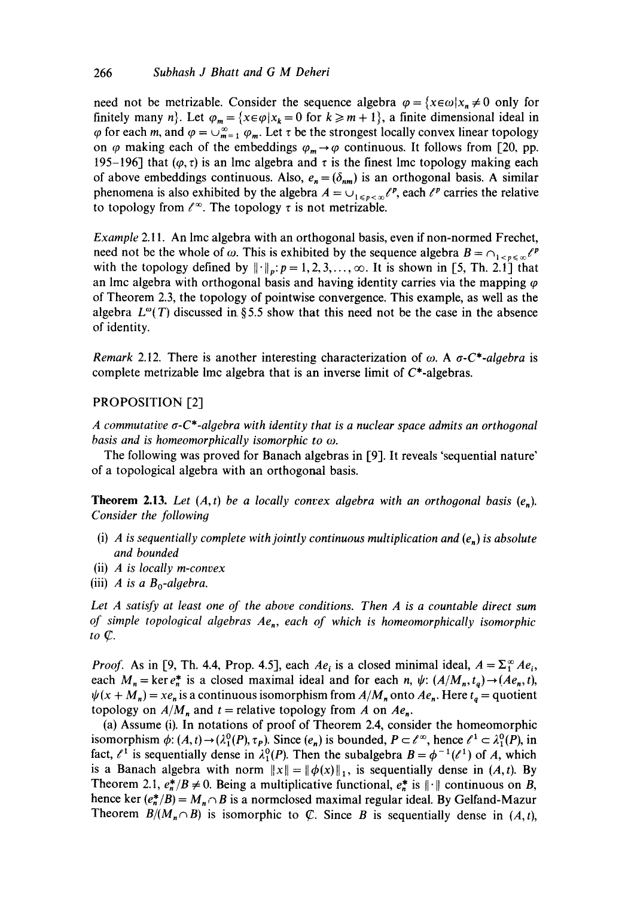need not be metrizable. Consider the sequence algebra  $\varphi = \{x \in \omega | x_n \neq 0 \text{ only for } x \in \mathbb{R} \}$ finitely many n}. Let  $\varphi_m = \{x \in \varphi | x_k = 0 \text{ for } k \ge m + 1\}$ , a finite dimensional ideal in  $\varphi$  for each m, and  $\varphi = \bigcup_{m=1}^{\infty} \varphi_m$ . Let  $\tau$  be the strongest locally convex linear topology on  $\varphi$  making each of the embeddings  $\varphi_m \to \varphi$  continuous. It follows from [20, pp. 195-196] that  $(\varphi, \tau)$  is an lmc algebra and  $\tau$  is the finest lmc topology making each of above embeddings continuous. Also,  $e_n = (\delta_{nm})$  is an orthogonal basis. A similar phenomena is also exhibited by the algebra  $A = \bigcup_{1 \leq p \leq \infty} \ell^p$ , each  $\ell^p$  carries the relative to topology from  $\ell^{\infty}$ . The topology  $\tau$  is not metrizable.

*Example* 2.11. An lmc algebra with an orthogonal basis, even if non-normed Frechet, need not be the whole of  $\omega$ . This is exhibited by the sequence algebra  $B = \bigcap_{k \in \mathbb{N}} \ell^p$ with the topology defined by  $\|\cdot\|_p: p= 1,2,3,\ldots, \infty$ . It is shown in [5, Th. 2.1] that an lmc algebra with orthogonal basis and having identity carries via the mapping  $\varphi$ of Theorem 2.3, the topology of pointwise convergence. This example, as well as the algebra  $L^{\omega}(T)$  discussed in §5.5 show that this need not be the case in the absence of identity.

*Remark* 2.12. There is another interesting characterization of  $\omega$ . A  $\sigma$ -C\*-algebra is complete metrizable lmc algebra that is an inverse limit of  $C^*$ -algebras.

# PROPOSITION [2]

A commutative  $\sigma$ -C<sup>\*</sup>-algebra with identity that is a nuclear space admits an orthogonal *basis and is homeomorphically isomorphic to ω.* 

The following was proved for Banach algebras in [9]. It reveals 'sequential nature' of a topological algebra with an orthogonal basis.

**Theorem 2.13.** Let  $(A, t)$  be a locally convex algebra with an orthogonal basis  $(e_n)$ . *Consider the following* 

- (i) *A* is sequentially complete with jointly continuous multiplication and  $(e_n)$  is absolute *and bounded*
- (ii) *A is locally m-convex*
- (iii) *A* is a  $B_0$ -algebra.

*Let A satisfy at least one of the above conditions. Then A is a countable direct sum of simple topological algebras Ae,, each of which is homeomorphically isomorphic*   $to \mathcal{C}$ .

*Proof.* As in [9, Th. 4.4, Prop. 4.5], each  $Ae_i$  is a closed minimal ideal,  $A = \sum_{i=1}^{\infty} Ae_i$ , each  $M_n = \ker e_n^*$  is a closed maximal ideal and for each n,  $\psi$ :  $(A/M_n, t_q) \rightarrow (A e_n, t)$ ,  $\psi(x + M_n) = xe_n$  is a continuous isomorphism from  $A/M_n$  onto  $Ae_n$ . Here  $t_q$  = quotient topology on  $A/M_n$  and  $t =$  relative topology from A on  $Ae_n$ .

(a) Assume (i). In notations of proof of Theorem 2.4, consider the homeomorphic isomorphism  $\phi: (A, t) \to (\lambda_1^0(P), \tau_P)$ . Since  $(e_n)$  is bounded,  $P \subset \ell^{\infty}$ , hence  $\ell^1 \subset \lambda_1^0(P)$ , in fact,  $\ell^1$  is sequentially dense in  $\lambda_1^0(P)$ . Then the subalgebra  $B = \phi^{-1}(\ell^1)$  of A, which is a Banach algebra with norm  $||x|| = ||\phi(x)||_1$ , is sequentially dense in *(A,t)*. By Theorem 2.1,  $e_n^*/B \neq 0$ . Being a multiplicative functional,  $e_n^*$  is  $||\cdot||$  continuous on B, hence ker  $(e_n^*/B) = M_n \cap B$  is a normclosed maximal regular ideal. By Gelfand-Mazur Theorem  $B/(M_n \cap B)$  is isomorphic to  $\mathbb C$ . Since B is sequentially dense in  $(A, t)$ ,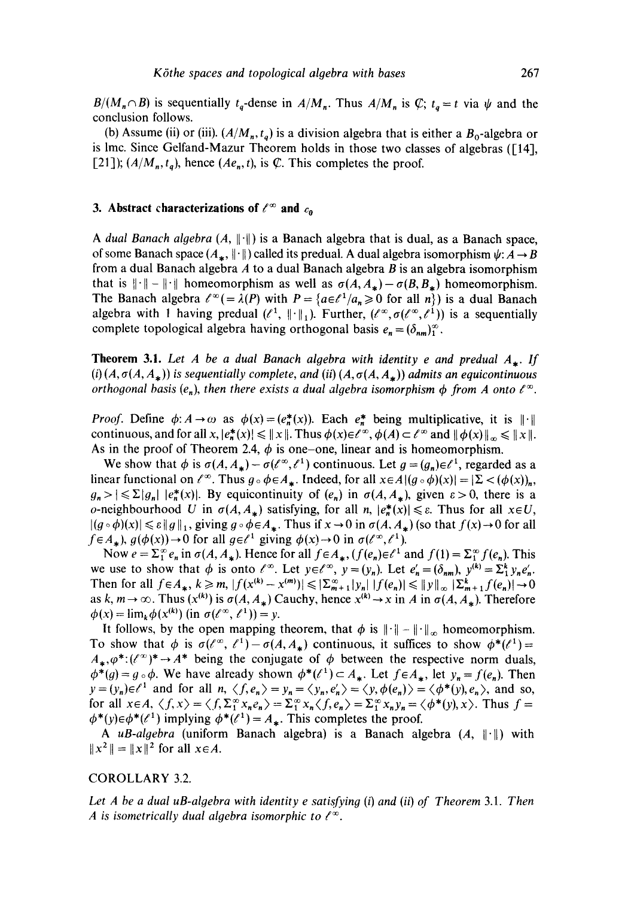$B/(M_n \cap B)$  is sequentially  $t_q$ -dense in  $A/M_n$ . Thus  $A/M_n$  is  $\mathcal{C}$ ;  $t_q = t$  via  $\psi$  and the conclusion follows.

(b) Assume (ii) or (iii).  $(A/M_n, t_q)$  is a division algebra that is either a  $B_0$ -algebra or is lmc. Since Gelfand-Mazur Theorem holds in those two classes of algebras ([14], [21]);  $(A/M_n, t_q)$ , hence  $(Ae_n, t)$ , is  $\mathcal{C}$ . This completes the proof.

# **3.** Abstract characterizations of  $\ell^{\infty}$  and  $c_0$

*A dual Banach algebra*  $(A, \|\cdot\|)$  is a Banach algebra that is dual, as a Banach space, of some Banach space  $(A_{\star}, \|\cdot\|)$  called its predual. A dual algebra isomorphism  $\psi: A \to B$ from a dual Banach algebra  $A$  to a dual Banach algebra  $B$  is an algebra isomorphism that is  $\|\cdot\| - \|\cdot\|$  homeomorphism as well as  $\sigma(A, A_*) - \sigma(B, B_*)$  homeomorphism. The Banach algebra  $\ell^{\infty} (= \lambda(P)$  with  $P = \{a \in \ell^1/a_n \ge 0 \text{ for all } n\}$  is a dual Banach algebra with 1 having predual  $(\ell^1, \|\cdot\|_1)$ . Further,  $(\ell^{\infty}, \sigma(\ell^{\infty}, \ell^1))$  is a sequentially complete topological algebra having orthogonal basis  $e_n = (\delta_{nm})_1^{\infty}$ .

**Theorem 3.1.** Let A be a dual Banach algebra with identity e and predual  $A_{\star}$ . If (i)  $(A, \sigma(A, A_{\ast}))$  is sequentially complete, and (ii)  $(A, \sigma(A, A_{\ast}))$  admits an equicontinuous *orthogonal basis*  $(e_n)$ , *then there exists a dual algebra isomorphism*  $\phi$  *from A onto*  $\ell^{\infty}$ *.* 

*Proof.* Define  $\phi: A \to \omega$  as  $\phi(x) = (e^*_n(x))$ . Each  $e^*_n$  being multiplicative, it is  $\|\cdot\|$ continuous, and for all  $x, |e^*_{n}(x)| \leq ||x||$ . Thus  $\phi(x) \in e^{x}$ ,  $\phi(A) \subset e^{x}$  and  $||\phi(x)||_{\infty} \leq ||x||$ . As in the proof of Theorem 2.4,  $\phi$  is one-one, linear and is homeomorphism.

We show that  $\phi$  is  $\sigma(A, A_*) - \sigma(\ell^{\infty}, \ell^1)$  continuous. Let  $g = (g_n) \in \ell^1$ , regarded as a linear functional on  $\ell^{\infty}$ . Thus  $g \circ \phi \in A_*$ . Indeed, for all  $x \in A | (g \circ \phi)(x)| = |\Sigma < (\phi(x))_n$ ,  $g_n > |\leq \Sigma |g_n| |e_n^{*}(x)|$ . By equicontinuity of  $(e_n)$  in  $\sigma(A, A_{*})$ , given  $\varepsilon > 0$ , there is a *o*-neighbourhood U in  $\sigma(A, A_*)$  satisfying, for all n,  $|e_n^*(x)| \le \varepsilon$ . Thus for all  $x \in U$ ,  $|(g \circ \phi)(x)| \le \varepsilon ||g||_1$ , giving  $g \circ \phi \in A_*$ . Thus if  $x \to 0$  in  $\sigma(A, A_*)$  (so that  $f(x) \to 0$  for all  $f \in A_*$ ),  $g(\phi(x)) \to 0$  for all  $g \in \ell^1$  giving  $\phi(x) \to 0$  in  $\sigma(\ell^{\infty}, \ell^1)$ .

Now  $e = \sum_{i=1}^{\infty} e_i$  in  $\sigma(A, A_*)$ . Hence for all  $f \in A_*$ ,  $(f(e_n) \in \ell^1$  and  $f(1) = \sum_{i=1}^{\infty} f(e_i)$ . This we use to show that  $\phi$  is onto  $\ell^{\infty}$ . Let  $y \in \ell^{\infty}$ ,  $y = (y_n)$ . Let  $e'_n = (\delta_{nm})$ ,  $y^{(k)} = \sum_{i=1}^{k} y_n e'_n$ . Then for all  $f \in A_*$ ,  $k \ge m$ ,  $|f(x^{(k)} - x^{(m)})| \le |\sum_{m=1}^{\infty} |y_n| |f(e_n)| \le ||y||_{\infty} |\sum_{m=1}^k f(e_n)| \to 0$ as k,  $m \rightarrow \infty$ . Thus  $(x^{(k)})$  is  $\sigma(A, A_*)$  Cauchy, hence  $x^{(k)} \rightarrow x$  in A in  $\sigma(A, A_*)$ . Therefore  $\phi(x) = \lim_{k} \phi(x^{(k)})$  (in  $\sigma(\ell^{\infty}, \ell^{1}) = y$ .

It follows, by the open mapping theorem, that  $\phi$  is  $\|\cdot\| - \|\cdot\|_{\infty}$  homeomorphism. To show that  $\phi$  is  $\sigma(\ell^{\infty}, \ell^{1})-\sigma(A, A_{*})$  continuous, it suffices to show  $\phi^{*}(\ell^{1})=$  $A_*,\varphi^*:$  $({\ell}^{\infty})^* \to A^*$  being the conjugate of  $\varphi$  between the respective norm duals,  $\phi^*(q) = g \circ \phi$ . We have already shown  $\phi^*(\ell^1) \subset A_*$ . Let  $f \in A_*$ , let  $y_n = f(e_n)$ . Then  $y=(y_n)\in\ell^1$  and for all  $n, \langle f, e_n\rangle=y_n=\langle y_n, e'_n\rangle=\langle y, \phi(e_n)\rangle=\langle \phi^*(y), e_n\rangle$ , and so, for all  $x \in A$ ,  $\langle f, x \rangle = \langle f, \Sigma_1^{\infty} x_n e_n \rangle = \Sigma_1^{\infty} x_n \langle f, e_n \rangle = \Sigma_1^{\infty} x_n y_n = \langle \phi^*(y), x \rangle$ . Thus  $f =$  $\phi^*(y) \in \phi^*(\ell^1)$  implying  $\phi^*(\ell^1) = A_*$ . This completes the proof.

*A uB-algebra* (uniform Banach algebra) is a Banach algebra (A,  $\|\cdot\|$ ) with  $||x^2|| = ||x||^2$  for all  $x \in A$ .

#### COROLLARY 3.2.

*Let A be a dual uB-algebra with identity e satisfying (i) and (ii) of Theorem 3.1. Then A* is isometrically dual algebra isomorphic to  $\ell^{\infty}$ .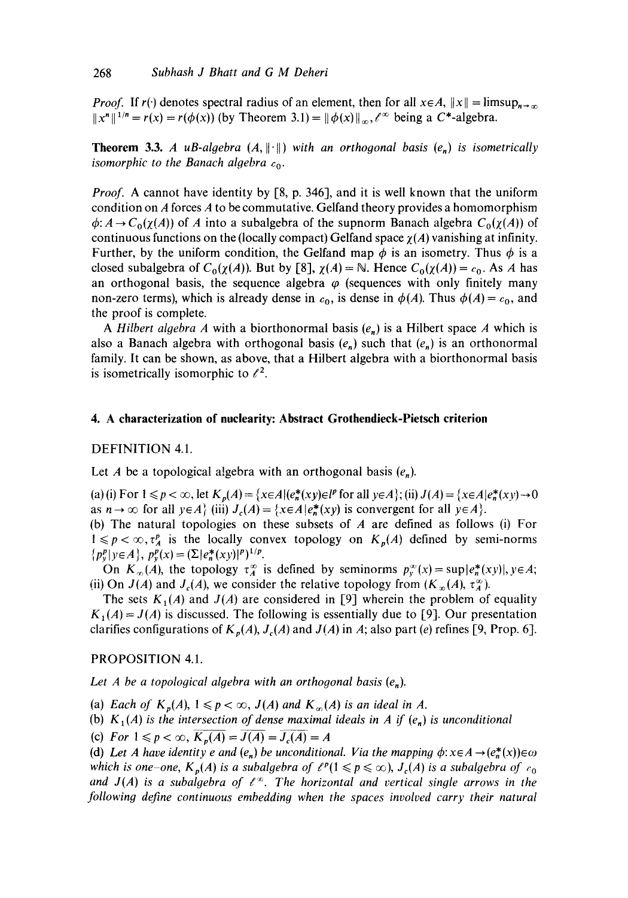*Proof.* If  $r(\cdot)$  denotes spectral radius of an element, then for all  $x \in A$ ,  $||x|| = \limsup_{n \to \infty}$  $||x^n||^{1/n} = r(x) = r(\phi(x))$  (by Theorem 3.1) =  $||\phi(x)||_{\infty}$ ,  $e^{\infty}$  being a C\*-algebra.

**Theorem 3.3.** *A uB-algebra*  $(A, \|\cdot\|)$  *with an orthogonal basis*  $(e_n)$  *is isometrically isomorphic to the Banach algebra*  $c_0$ .

*Proof.* A cannot have identity by [8, p. 346], and it is well known that the uniform condition on A forces A to be commutative. Gelfand theory provides a homomorphism  $\phi: A \to C_0(\chi(A))$  of A into a subalgebra of the supnorm Banach algebra  $C_0(\chi(A))$  of continuous functions on the (locally compact) Gelfand space  $\chi(A)$  vanishing at infinity. Further, by the uniform condition, the Gelfand map  $\phi$  is an isometry. Thus  $\phi$  is a closed subalgebra of  $C_0(\chi(A))$ . But by [8],  $\chi(A) = \mathbb{N}$ . Hence  $C_0(\chi(A)) = c_0$ . As A has an orthogonal basis, the sequence algebra  $\varphi$  (sequences with only finitely many non-zero terms), which is already dense in  $c_0$ , is dense in  $\phi(A)$ . Thus  $\phi(A) = c_0$ , and the proof is complete.

*A Hilbert algebra A* with a biorthonormal basis  $(e_n)$  is a Hilbert space *A* which is also a Banach algebra with orthogonal basis  $(e_n)$  such that  $(e_n)$  is an orthonormal family. It can be shown, as above, that a Hilbert algebra with a biorthonormal basis is isometrically isomorphic to  $\ell^2$ .

### **4. A characterization of nuclearity: Abstract Grothendieck-Pietsch criterion**

#### DEFINITION 4.1.

Let A be a topological algebra with an orthogonal basis  $(e_n)$ .

(a) (i) For  $1 \leq p < \infty$ , let  $K_p(A) = \{x \in A | (e_n^*(xy) \in l^p \text{ for all } y \in A \};$  (ii)  $J(A) = \{x \in A | e_n^*(xy) \to 0$ as  $n \to \infty$  for all  $y \in A$  (iii)  $J_c(A) = \{x \in A | e_n^*(xy)$  is convergent for all  $y \in A\}$ .

(b) The natural topologies on these subsets of  $A$  are defined as follows (i) For  $1 \leq p < \infty$ ,  $\tau_A^p$  is the locally convex topology on  $K_p(A)$  defined by semi-norms  $\{p_v^p | y \in A\}, p_v^p(x) = (\sum |e_n^*(xy)|^p)^{1/p}.$ 

On  $K_{\infty}(A)$ , the topology  $\tau_A^{\infty}$  is defined by seminorms  $p_y^{\infty}(x) = \sup |e_n^{*}(xy)|$ ,  $y \in A$ ; (ii) On  $J(A)$  and  $J_c(A)$ , we consider the relative topology from  $(K_{\infty}(A), \tau_A^{\infty})$ .

The sets  $K_1(A)$  and  $J(A)$  are considered in [9] wherein the problem of equality  $K_1(A) = J(A)$  is discussed. The following is essentially due to [9]. Our presentation clarifies configurations of  $K_p(A)$ ,  $J_c(A)$  and  $J(A)$  in A; also part (e) refines [9, Prop. 6].

PROPOSITION 4.1.

Let A be a topological algebra with an orthogonal basis  $(e_n)$ .

(a) *Each of*  $K_p(A)$ ,  $1 \leqslant p < \infty$ ,  $J(A)$  and  $K_{\infty}(A)$  is an ideal in A.

(b)  $K_1(A)$  is the intersection of dense maximal ideals in A if  $(e_n)$  is unconditional

(c) *For*  $1 \leq p < \infty$ ,  $K_p(A) = J(A) = J_c(A) = A$ 

(d) Let A have identity e and  $(e_n)$  be unconditional. Via the mapping  $\phi$ :  $x \in A \rightarrow (e_n^*(x)) \in \omega$ *which is one–one,*  $K_p(A)$  *is a subalgebra of*  $\ell^p(1 \leq p \leq \infty)$ ,  $J_c(A)$  *is a subalgebra of*  $c_0$ and  $J(A)$  is a subalgebra of  $\ell^{\infty}$ . The horizontal and vertical single arrows in the following define continuous embedding when the spaces involved carry their natural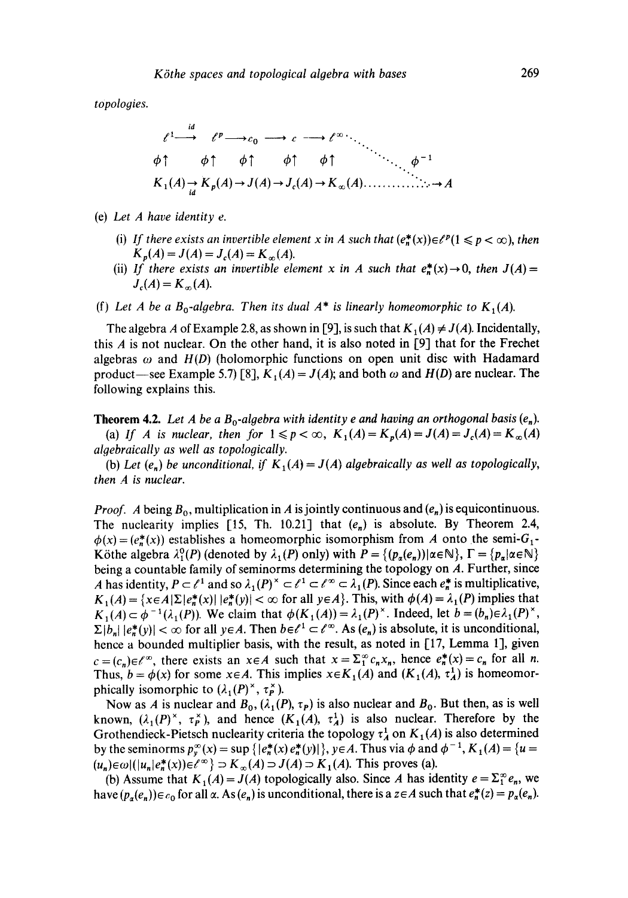*topologies.* 

$$
\ell^1 \longrightarrow \ell^p \longrightarrow c_0 \longrightarrow c \longrightarrow \ell^\infty \longrightarrow \ell^0
$$
  
\n
$$
\phi \uparrow \qquad \phi \uparrow \qquad \phi \uparrow \qquad \phi \uparrow \qquad \phi \uparrow \qquad \phi^{-1}
$$
  
\n
$$
K_1(A) \longrightarrow K_p(A) \longrightarrow J(A) \longrightarrow J_c(A) \longrightarrow K_\infty(A) \longrightarrow \ell^1
$$

- *(e) Let A have identity e.* 
	- (i) If there exists an invertible element x in A such that  $(e_n^*(x)) \in \ell^p (1 \leq p < \infty)$ , then  $K_p(A) = J(A) = J_c(A) = K_{\infty}(A).$
	- (ii) *If there exists an invertible element x in A such that*  $e^*(x) \to 0$ , then  $J(A)$  =  $J_c(A) = K_{c} (A).$
- (f) Let A be a  $B_0$ -algebra. Then its dual  $A^*$  is linearly homeomorphic to  $K_1(A)$ .

The algebra A of Example 2.8, as shown in [9], is such that  $K_1(A) \neq J(A)$ . Incidentally, this A is not nuclear. On the other hand, it is also noted in [9] that for the Frechet algebras  $\omega$  and  $H(D)$  (holomorphic functions on open unit disc with Hadamard product—see Example 5.7) [8],  $K_1(A) = J(A)$ ; and both  $\omega$  and  $H(D)$  are nuclear. The following explains this.

**Theorem 4.2.** Let A be a  $B_0$ -algebra with identity e and having an orthogonal basis  $(e_n)$ . (a) If A is nuclear, then for  $1 \leq p < \infty$ ,  $K_1(A) = K_p(A) = J(A) = J_c(A) = K_\infty(A)$ *alqebraically as well as topolooically.* 

(b) Let  $(e_n)$  be unconditional, if  $K_1(A) = J(A)$  algebraically as well as topologically, then A is nuclear.

*Proof.* A being  $B_0$ , multiplication in A is jointly continuous and  $(e_n)$  is equicontinuous. The nuclearity implies [15, Th. 10.21] that  $(e_n)$  is absolute. By Theorem 2.4,  $\phi(x) = (e_n^*(x))$  establishes a homeomorphic isomorphism from A onto the semi-G<sub>1</sub>-Köthe algebra  $\lambda_1^0(P)$  (denoted by  $\lambda_1(P)$  only) with  $P = \{(p_\alpha(e_n)) | \alpha \in \mathbb{N}\}\$ ,  $\Gamma = \{p_\alpha | \alpha \in \mathbb{N}\}\$ being a countable family of seminorms determining the topology on A. Further, since A has identity,  $P \subset \ell^1$  and so  $\lambda_1(P)^{\times} \subset \ell^1 \subset \ell^{\infty} \subset \lambda_1(P)$ . Since each  $e_n^*$  is multiplicative,  $K_1(A) = \{x \in A | \Sigma | e^*_n(x) | | e^*_n(y) | < \infty \text{ for all } y \in A \}.$  This, with  $\phi(A) = \lambda_1(P)$  implies that  $K_1(A) \subset \phi^{-1}(\lambda_1(P))$ . We claim that  $\phi(K_1(A)) = \lambda_1(P)^{\times}$ . Indeed, let  $b = (b_n) \in \lambda_1(P)^{\times}$ ,  $\Sigma |b_n| |e_n^*(y)| < \infty$  for all  $y \in A$ . Then  $b \in \ell^1 \subset \ell^{\infty}$ . As  $(e_n)$  is absolute, it is unconditional, hence a bounded multiplier basis, with the result, as noted in  $[17,$  Lemma 1], given  $c=(c_n)\in \ell^\infty$ , there exists an  $x\in A$  such that  $x=\sum_{1}^{\infty}c_nx_n$ , hence  $e_n^*(x)=c_n$  for all n. Thus,  $b = \phi(x)$  for some  $x \in A$ . This implies  $x \in K_1(A)$  and  $(K_1(A), \tau_A^1)$  is homeomorphically isomorphic to  $(\lambda_1(P)^{\times}, \tau_P^{\times})$ .

Now as A is nuclear and  $B_0$ ,  $(\lambda_1(P), \tau_P)$  is also nuclear and  $B_0$ . But then, as is well known,  $(\lambda_1(P)^{\times}, \tau_P^{\times})$ , and hence  $(K_1(A), \tau_A^1)$  is also nuclear. Therefore by the Grothendieck-Pietsch nuclearity criteria the topology  $\tau_A^1$  on  $K_1(A)$  is also determined by the seminorms  $p_{\nu}^{\infty}(x) = \sup \{ |e_{n}^{*}(x) e_{n}^{*}(y)| \}$ ,  $y \in A$ . Thus via  $\phi$  and  $\phi^{-1}$ ,  $K_1(A) = \{u =$  $(u_n) \in \omega \mid (u_n | e_n^*(x)) \in \ell^{\infty}$   $\supset K_{\infty}(A) \supset J(A) \supset K_1(A)$ . This proves (a).

(b) Assume that  $K_1(A) = J(A)$  topologically also. Since A has identity  $e = \sum_{i=1}^{\infty} e_i$ , we have  $(p_{\alpha}(e_n))\in c_0$  for all  $\alpha$ . As  $(e_n)$  is unconditional, there is a  $z\in A$  such that  $e_n^*(z) = p_{\alpha}(e_n)$ .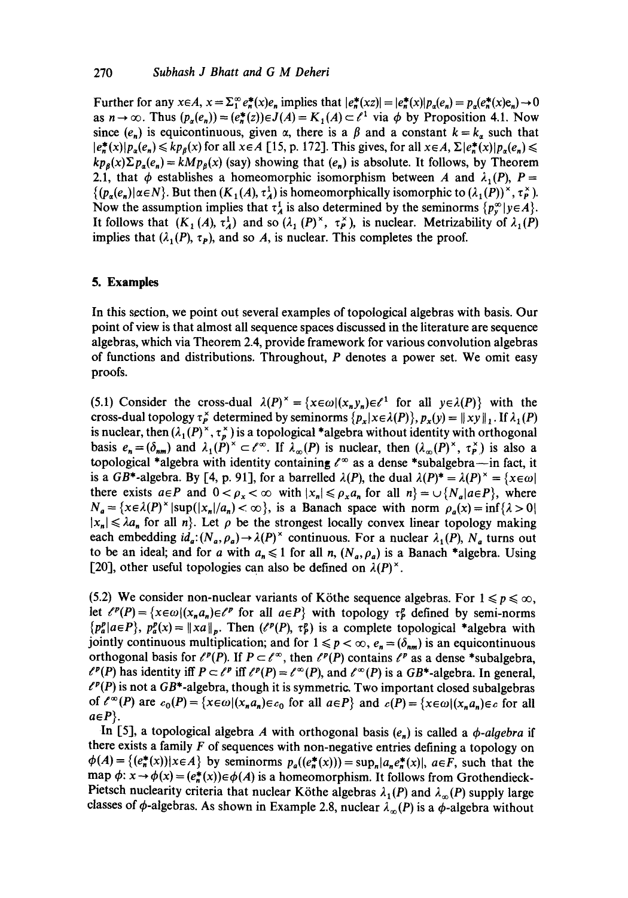Further for any  $x \in A$ ,  $x = \sum_{1}^{\infty} e^*_n(x)e_n$  implies that  $|e^*_n(xz)| = |e^*_n(x)|p_a(e_n) = p_a(e^*_n(x)e_n) \rightarrow 0$ as  $n \to \infty$ . Thus  $(p_{\alpha}(e_n))=(e_n^*(z))\in J(A)=K_1(A)\subset \ell^1$  via  $\phi$  by Proposition 4.1. Now since  $(e_n)$  is equicontinuous, given  $\alpha$ , there is a  $\beta$  and a constant  $k = k_a$  such that  $|e_n^*(x)|p_\alpha(e_n) \leq k p_\beta(x)$  for all  $x \in A$  [15, p. 172]. This gives, for all  $x \in A$ ,  $\Sigma |e_n^*(x)|p_\alpha(e_n) \leq$  $kp_{\theta}(x)\Sigma p_{\theta}(e_n) = kMp_{\theta}(x)$  (say) showing that  $(e_n)$  is absolute. It follows, by Theorem 2.1, that  $\phi$  establishes a homeomorphic isomorphism between A and  $\lambda_1(P)$ , P =  $\{(p_{\alpha}(e_n)|\alpha\in N\}$ . But then  $(K_1(A), \tau_A^1)$  is homeomorphically isomorphic to  $(\lambda_1(P))^{\times}, \tau_P^{\times}$ . Now the assumption implies that  $\tau_A^1$  is also determined by the seminorms  $\{p_v^{\infty} | y \in A \}$ . It follows that  $(K_1(A), \tau_A^1)$  and so  $(\lambda_1(P)^{\times}, \tau_P^{\times})$ , is nuclear. Metrizability of  $\lambda_1(P)$ implies that  $(\lambda_1(P), \tau_P)$ , and so A, is nuclear. This completes the proof.

# **5. Examples**

In this section, we point out several examples of topological algebras with basis. Our point of view is that almost all sequence spaces discussed in the literature are sequence algebras, which via Theorem 2.4, provide framework for various convolution algebras of functions and distributions. Throughout,  $P$  denotes a power set. We omit easy proofs.

(5.1) Consider the cross-dual  $\lambda(P)^{\times} = \{x \in \omega | (x_n, y_n) \in \ell^1 \text{ for all } y \in \lambda(P) \}$  with the cross-dual topology  $\tau_p^{\times}$  determined by seminorms  $\{p_x | x \in \lambda(P)\}$ ,  $p_x(y) = ||xy||$ , If  $\lambda_1(P)$ is nuclear, then  $(\lambda_1(P)^{\times}, \tau_n^{\times})$  is a topological \*algebra without identity with orthogonal basis  $e_n=(\delta_{nm})$  and  $\lambda_1(P)^{\times} \subset \ell^{\infty}$ . If  $\lambda_{\infty}(P)$  is nuclear, then  $(\lambda_{\infty}(P)^{\times}, \tau_P^{\times})$  is also a topological \*algebra with identity containing  $\ell^{\infty}$  as a dense \*subalgebra—in fact, it is a GB\*-algebra. By [4, p. 91], for a barrelled  $\lambda(P)$ , the dual  $\lambda(P)^* = \lambda(P)^* = {\chi \in \omega}$ there exists  $a \in P$  and  $0 < \rho_x < \infty$  with  $|x_n| \leq \rho_x a_n$  for all  $n \geq \sqrt{\frac{N}{a}} a \in P$ , where  $N_a = \{x \in \lambda(P)^{\times} | \sup(|x_n|/a_n) < \infty \}$ , is a Banach space with norm  $\rho_a(x) = \inf \{ \lambda > 0 \}$  $|x_n| \leq \lambda a_n$  for all  $n$ . Let  $\rho$  be the strongest locally convex linear topology making each embedding  $id_a:(N_a,\rho_a)\to \lambda(P)^{\times}$  continuous. For a nuclear  $\lambda_1(P)$ ,  $N_a$  turns out to be an ideal; and for a with  $a_n \leq 1$  for all n,  $(N_a, \rho_a)$  is a Banach \*algebra. Using [20], other useful topologies can also be defined on  $\lambda(P)^{\times}$ .

(5.2) We consider non-nuclear variants of Köthe sequence algebras. For  $1 \leq p \leq \infty$ , let  $\ell^p(P) = \{x \in \omega | (x_n a_n) \in \ell^p \text{ for all } a \in P\}$  with topology  $\tau_p^p$  defined by semi-norms  ${p_a^p | a \in P}$ ,  $p_a^p(x) = ||xa||_p$ . Then ( $\ell^p(P)$ ,  $\tau_p^p$ ) is a complete topological \*algebra with jointly continuous multiplication; and for  $1 \leq p < \infty$ ,  $e_n = (\delta_{nm})$  is an equicontinuous orthogonal basis for  $\ell^p(P)$ . If  $P \subset \ell^{\infty}$ , then  $\ell^p(P)$  contains  $\ell^p$  as a dense \*subalgebra,  $\ell^p(P)$  has identity iff  $P \subset \ell^p$  iff  $\ell^p(P) = \ell^{\infty}(P)$ , and  $\ell^{\infty}(P)$  is a GB\*-algebra. In general,  $\ell^p(P)$  is not a GB\*-algebra, though it is symmetric. Two important closed subalgebras of  $\ell^{\infty}(P)$  are  $c_0(P) = \{x \in \omega | (x_n a_n) \in c_0 \text{ for all } a \in P\}$  and  $c(P) = \{x \in \omega | (x_n a_n) \in c \text{ for all } a \in P\}$  $a \in P$ .

In [5], a topological algebra A with orthogonal basis  $(e_n)$  is called a  $\phi$ -algebra if there exists a family  $F$  of sequences with non-negative entries defining a topology on  $\phi(A) = \{ (e_n^*(x)) | x \in A \}$  by seminorms  $p_a((e_n^*(x))) = \sup_n |a_n e_n^*(x)|$ ,  $a \in F$ , such that the map  $\phi: x \to \phi(x) = (e^*_n(x)) \in \phi(A)$  is a homeomorphism. It follows from Grothendieck-Pietsch nuclearity criteria that nuclear Köthe algebras  $\lambda_1(P)$  and  $\lambda_{\infty}(P)$  supply large classes of  $\phi$ -algebras. As shown in Example 2.8, nuclear  $\lambda_{\infty}(P)$  is a  $\phi$ -algebra without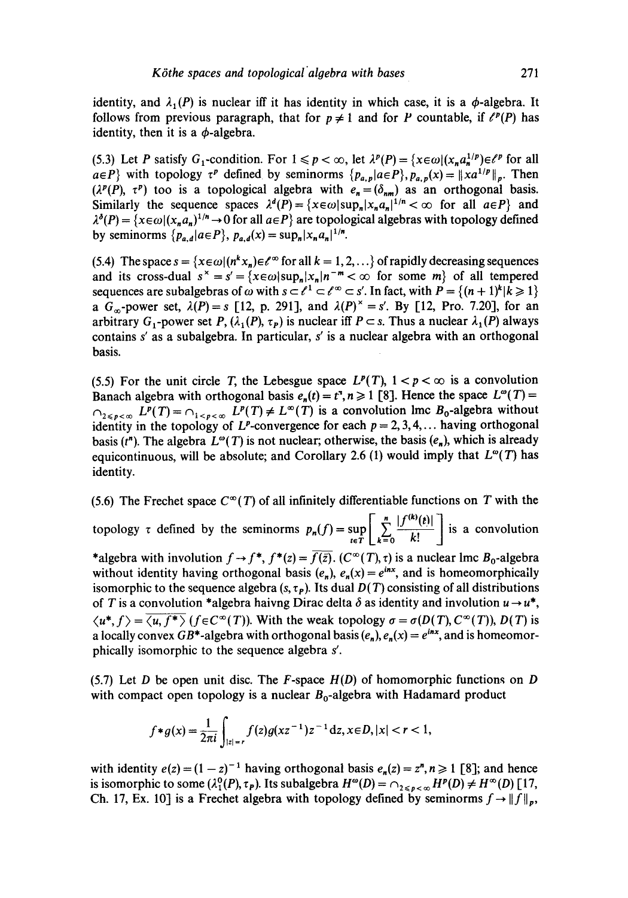identity, then it is a  $\phi$ -algebra.

(5.3) Let P satisfy G<sub>1</sub>-condition. For  $1 \leq p < \infty$ , let  $\lambda^p(P) = \{x \in \omega | (x_n a_n^{1/p}) \in \ell^p \}$  for all  $a \in P$ } with topology  $\tau^p$  defined by seminorms  $\{p_{a,p} | a \in P\}$ ,  $p_{a,p}(x) = ||xa^{1/p}||_p$ . Then  $(\lambda^p(P), \tau^p)$  too is a topological algebra with  $e_n = (\delta_{nm})$  as an orthogonal basis. Similarly the sequence spaces  $\lambda^d(P) = \{x \in \omega | \sup_n |x_n a_n||^{1/n} < \infty \text{ for all } a \in P\}$  and  $\lambda^{\delta}(P) = \{x \in \omega | (x_n a_n)^{1/n} \to 0 \text{ for all } a \in P\}$  are topological algebras with topology defined by seminorms  $\{p_{a,d}|a \in P\}$ ,  $p_{a,d}(x) = \sup_n |x_n a_n|^{1/n}$ .

(5.4) The space  $s = \{x \in \omega | (n^k x_n) \in \ell^\infty \}$  for all  $k = 1, 2, \ldots \}$  of rapidly decreasing sequences and its cross-dual  $s^* = s' = {x \in \omega | \sup_n |x_n|}^{-m} < \infty$  for some m of all tempered sequences are subalgebras of  $\omega$  with  $s \subset \ell^1 \subset \ell^\infty \subset s'$ . In fact, with  $P = \{(n+1)^k | k \geq 1\}$ a  $G_{\infty}$ -power set,  $\lambda(P) = s$  [12, p. 291], and  $\lambda(P)^{\times} = s'$ . By [12, Pro. 7.20], for an arbitrary G<sub>1</sub>-power set P,  $(\lambda_1(P), \tau_P)$  is nuclear iff  $P \subset s$ . Thus a nuclear  $\lambda_1(P)$  always contains s' as a subalgebra. In particular, s' is a nuclear algebra with an orthogonal basis.

(5.5) For the unit circle T, the Lebesgue space  $L^p(T)$ ,  $1 < p < \infty$  is a convolution Banach algebra with orthogonal basis  $e_n(t) = t^n, n \ge 1$  [8]. Hence the space  $L^{\infty}(T) =$  $Q_{2\leq n\leq m}$   $L^p(T) = Q_{1\leq n\leq m}$   $L^p(T) \neq L^{\infty}(T)$  is a convolution lmc  $B_0$ -algebra without identity in the topology of L<sup>p</sup>-convergence for each  $p = 2, 3, 4, \ldots$  having orthogonal basis ( $t<sup>n</sup>$ ). The algebra  $L^{\omega}(T)$  is not nuclear; otherwise, the basis ( $e_n$ ), which is already equicontinuous, will be absolute; and Corollary 2.6 (1) would imply that  $L^{\infty}(T)$  has identity.

(5.6) The Frechet space  $C^{\infty}(T)$  of all infinitely differentiable functions on T with the topology  $\tau$  defined by the seminorms  $p_n(f) = \sup_{t \in T} \left[ \sum_{k=0}^{\infty} \frac{f(t)}{k!} \right]$  is a convolution \*algebra with involution  $f \rightarrow f^*$ ,  $f^*(z) = \overline{f(\overline{z})}$ .  $(C^{\infty}(T), \tau)$  is a nuclear lmc  $B_0$ -algebra without identity having orthogonal basis  $(e_n)$ ,  $e_n(x) = e^{inx}$ , and is homeomorphically isomorphic to the sequence algebra  $(s, \tau_p)$ . Its dual  $D(T)$  consisting of all distributions of T is a convolution \*algebra haivng Dirac delta  $\delta$  as identity and involution  $u \rightarrow u^*$ ,  $\langle u^*, f \rangle = \langle u, f^* \rangle$  ( $f \in C^{\infty}(T)$ ). With the weak topology  $\sigma = \sigma(D(T), C^{\infty}(T))$ ,  $D(T)$  is a locally convex  $GB^*$ -algebra with orthogonal basis  $(e_n), e_n(x) = e^{inx}$ , and is homeomorphically isomorphic to the sequence algebra s'.

(5.7) Let D be open unit disc. The F-space *H(D)* of homomorphic functions on D with compact open topology is a nuclear  $B_0$ -algebra with Hadamard product

$$
f*g(x) = \frac{1}{2\pi i} \int_{|z|=r} f(z)g(xz^{-1})z^{-1}dz, x \in D, |x| < r < 1,
$$

with identity  $e(z) = (1 - z)^{-1}$  having orthogonal basis  $e_n(z) = z^n, n \ge 1$  [8]; and hence is isomorphic to some  $(\lambda_1^0(P), \tau_P)$ . Its subalgebra  $H^{\omega}(D) = \cap_{2 \leq p < \infty} H^p(D) \neq H^{\infty}(D)$  [17, Ch. 17, Ex. 10] is a Frechet algebra with topology defined by seminorms  $f \rightarrow ||f||_p$ ,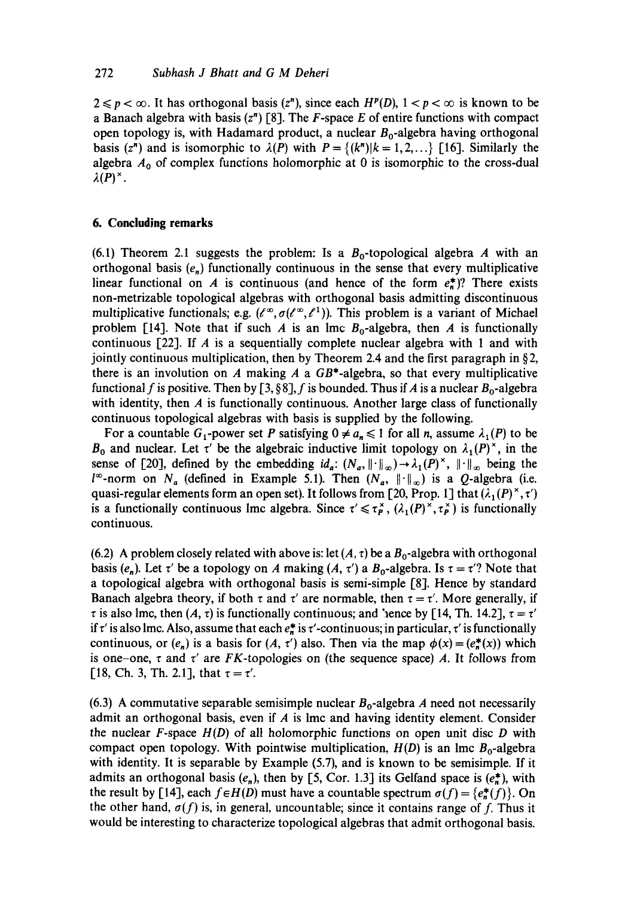$2 \leq p < \infty$ . It has orthogonal basis (z<sup>n</sup>), since each  $H^p(D)$ ,  $1 < p < \infty$  is known to be a Banach algebra with basis  $(z<sup>n</sup>)$  [8]. The F-space E of entire functions with compact open topology is, with Hadamard product, a nuclear  $B_0$ -algebra having orthogonal basis (z<sup>n</sup>) and is isomorphic to  $\lambda(P)$  with  $P = \{(k^n) | k = 1, 2, ...\}$  [16]. Similarly the algebra  $A_0$  of complex functions holomorphic at 0 is isomorphic to the cross-dual  $\lambda(P)^{\times}$ .

## **6. Concluding remarks**

(6.1) Theorem 2.1 suggests the problem: Is a  $B_0$ -topological algebra A with an orthogonal basis  $(e_n)$  functionally continuous in the sense that every multiplicative linear functional on A is continuous (and hence of the form  $e^*$ )? There exists non-metrizable topological algebras with orthogonal basis admitting discontinuous multiplicative functionals; e.g.  $(\ell^{\infty}, \sigma(\ell^{\infty}, \ell^1))$ . This problem is a variant of Michael problem [14]. Note that if such A is an lmc  $B_0$ -algebra, then A is functionally continuous  $[22]$ . If A is a sequentially complete nuclear algebra with 1 and with jointly continuous multiplication, then by Theorem 2.4 and the first paragraph in  $\S$ 2, there is an involution on A making A a  $GB^*$ -algebra, so that every multiplicative functional f is positive. Then by [3, §8], f is bounded. Thus if A is a nuclear  $B_0$ -algebra with identity, then  $\vec{A}$  is functionally continuous. Another large class of functionally continuous topological algebras with basis is supplied by the following.

For a countable  $G_1$ -power set P satisfying  $0 \neq a_n \leq 1$  for all n, assume  $\lambda_1(P)$  to be  $B_0$  and nuclear. Let  $\tau'$  be the algebraic inductive limit topology on  $\lambda_1(P)^{\times}$ , in the sense of [20], defined by the embedding  $id_a$ :  $(N_a, \|\cdot\|_{\infty}) \rightarrow \lambda_1(P)^{\times}$ ,  $\|\cdot\|_{\infty}$  being the  $l^{\infty}$ -norm on  $N_a$  (defined in Example 5.1). Then  $(N_a, \|\cdot\|_{\infty})$  is a Q-algebra (i.e. quasi-regular elements form an open set). It follows from [20, Prop. 1] that  $(\lambda_1(P)^{\times}, \tau)$ is a functionally continuous lmc algebra. Since  $\tau' \leq \tau_p^{\times}$ ,  $(\lambda_1(P)^{\times}, \tau_p^{\times})$  is functionally continuous.

(6.2) A problem closely related with above is: let  $(A, \tau)$  be a  $B_0$ -algebra with orthogonal basis  $(e_n)$ . Let  $\tau'$  be a topology on A making  $(A, \tau')$  a  $B_0$ -algebra. Is  $\tau = \tau'$ ? Note that a topological algebra with orthogonal basis is semi-simple [8]. Hence by standard Banach algebra theory, if both  $\tau$  and  $\tau'$  are normable, then  $\tau = \tau'$ . More generally, if  $\tau$  is also lmc, then (A,  $\tau$ ) is functionally continuous; and 'hence by [14, Th. 14.2],  $\tau = \tau'$ if  $\tau'$  is also lmc. Also, assume that each  $e^*_{n}$  is  $\tau'$ -continuous; in particular,  $\tau'$  is functionally continuous, or  $(e_n)$  is a basis for  $(A, \tau')$  also. Then via the map  $\phi(x) = (e_n^*(x))$  which is one-one,  $\tau$  and  $\tau'$  are FK-topologies on (the sequence space) A. It follows from [18, Ch. 3, Th. 2.1], that  $\tau = \tau'$ .

(6.3) A commutative separable semisimple nuclear  $B_0$ -algebra A need not necessarily admit an orthogonal basis, even if  $A$  is lmc and having identity element. Consider the nuclear  $F$ -space  $H(D)$  of all holomorphic functions on open unit disc  $D$  with compact open topology. With pointwise multiplication,  $H(D)$  is an lmc  $B_0$ -algebra with identity. It is separable by Example (5.7), and is known to be semisimple. If it admits an orthogonal basis ( $e_n$ ), then by [5, Cor. 1.3] its Gelfand space is ( $e_n^*$ ), with the result by [14], each  $f \in H(D)$  must have a countable spectrum  $\sigma(f) = \{e^*_n(f)\}\$ . On the other hand,  $\sigma(f)$  is, in general, uncountable; since it contains range of f. Thus it would be interesting to characterize topological algebras that admit orthogonal basis.